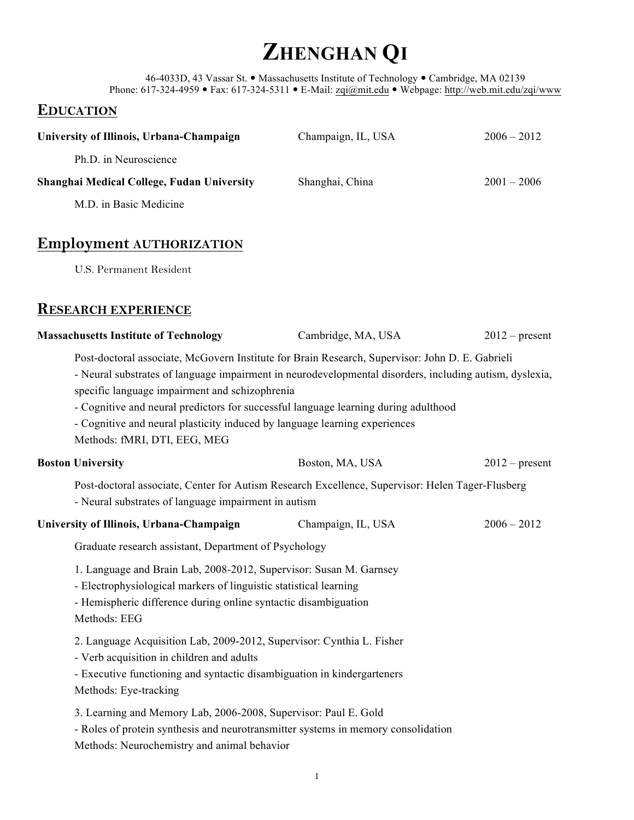# **ZHENGHAN Q<sup>I</sup>**

46-4033D, 43 Vassar St. · Massachusetts Institute of Technology · Cambridge, MA 02139 Phone: 617-324-4959 • Fax: 617-324-5311 • E-Mail: zqi@mit.edu • Webpage: http://web.mit.edu/zqi/www

# **EDUCATION**

| University of Illinois, Urbana-Champaign                                                                                                                                                                                                                                                                                                                                                                                                                          | Champaign, IL, USA | $2006 - 2012$    |
|-------------------------------------------------------------------------------------------------------------------------------------------------------------------------------------------------------------------------------------------------------------------------------------------------------------------------------------------------------------------------------------------------------------------------------------------------------------------|--------------------|------------------|
| Ph.D. in Neuroscience                                                                                                                                                                                                                                                                                                                                                                                                                                             |                    |                  |
| Shanghai Medical College, Fudan University                                                                                                                                                                                                                                                                                                                                                                                                                        | Shanghai, China    | $2001 - 2006$    |
| M.D. in Basic Medicine                                                                                                                                                                                                                                                                                                                                                                                                                                            |                    |                  |
|                                                                                                                                                                                                                                                                                                                                                                                                                                                                   |                    |                  |
| <b>Employment AUTHORIZATION</b>                                                                                                                                                                                                                                                                                                                                                                                                                                   |                    |                  |
| <b>U.S. Permanent Resident</b>                                                                                                                                                                                                                                                                                                                                                                                                                                    |                    |                  |
| <b>RESEARCH EXPERIENCE</b>                                                                                                                                                                                                                                                                                                                                                                                                                                        |                    |                  |
| <b>Massachusetts Institute of Technology</b>                                                                                                                                                                                                                                                                                                                                                                                                                      | Cambridge, MA, USA | $2012$ – present |
| Post-doctoral associate, McGovern Institute for Brain Research, Supervisor: John D. E. Gabrieli<br>- Neural substrates of language impairment in neurodevelopmental disorders, including autism, dyslexia,<br>specific language impairment and schizophrenia<br>- Cognitive and neural predictors for successful language learning during adulthood<br>- Cognitive and neural plasticity induced by language learning experiences<br>Methods: fMRI, DTI, EEG, MEG |                    |                  |
| <b>Boston University</b>                                                                                                                                                                                                                                                                                                                                                                                                                                          | Boston, MA, USA    | $2012$ – present |
| Post-doctoral associate, Center for Autism Research Excellence, Supervisor: Helen Tager-Flusberg<br>- Neural substrates of language impairment in autism                                                                                                                                                                                                                                                                                                          |                    |                  |
| University of Illinois, Urbana-Champaign                                                                                                                                                                                                                                                                                                                                                                                                                          | Champaign, IL, USA | $2006 - 2012$    |
| Graduate research assistant, Department of Psychology                                                                                                                                                                                                                                                                                                                                                                                                             |                    |                  |
| 1. Language and Brain Lab, 2008-2012, Supervisor: Susan M. Garnsey<br>- Electrophysiological markers of linguistic statistical learning<br>- Hemispheric difference during online syntactic disambiguation<br>Methods: EEG                                                                                                                                                                                                                                        |                    |                  |
| 2. Language Acquisition Lab, 2009-2012, Supervisor: Cynthia L. Fisher<br>- Verb acquisition in children and adults<br>- Executive functioning and syntactic disambiguation in kindergarteners<br>Methods: Eye-tracking                                                                                                                                                                                                                                            |                    |                  |
| 3. Learning and Memory Lab, 2006-2008, Supervisor: Paul E. Gold<br>- Roles of protein synthesis and neurotransmitter systems in memory consolidation<br>Methods: Neurochemistry and animal behavior                                                                                                                                                                                                                                                               |                    |                  |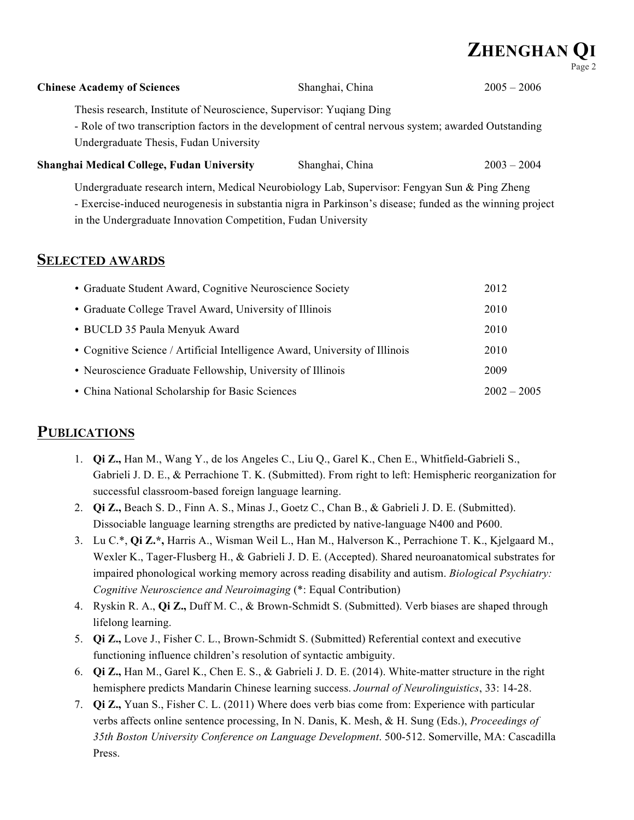# **ZHENGHAN Q<sup>I</sup>**

| <b>Chinese Academy of Sciences</b>                                                                                                                                                                                                                                          | Shanghai, China | $2005 - 2006$ |
|-----------------------------------------------------------------------------------------------------------------------------------------------------------------------------------------------------------------------------------------------------------------------------|-----------------|---------------|
| Thesis research, Institute of Neuroscience, Supervisor: Yuqiang Ding<br>- Role of two transcription factors in the development of central nervous system; awarded Outstanding<br>Undergraduate Thesis, Fudan University                                                     |                 |               |
| Shanghai Medical College, Fudan University                                                                                                                                                                                                                                  | Shanghai, China | $2003 - 2004$ |
| Undergraduate research intern, Medical Neurobiology Lab, Supervisor: Fengyan Sun & Ping Zheng<br>- Exercise-induced neurogenesis in substantia nigra in Parkinson's disease; funded as the winning project<br>in the Undergraduate Innovation Competition, Fudan University |                 |               |
| <b>SELECTED AWARDS</b>                                                                                                                                                                                                                                                      |                 |               |
| • Graduate Student Award, Cognitive Neuroscience Society                                                                                                                                                                                                                    |                 | 2012          |
| • Graduate College Travel Award, University of Illinois                                                                                                                                                                                                                     |                 | 2010          |

| • BUCLD 35 Paula Menyuk Award                                               | 2010          |
|-----------------------------------------------------------------------------|---------------|
| • Cognitive Science / Artificial Intelligence Award, University of Illinois | 2010          |
| • Neuroscience Graduate Fellowship, University of Illinois                  | 2009          |
| • China National Scholarship for Basic Sciences                             | $2002 - 2005$ |

# **PUBLICATIONS**

- 1. **Qi Z.,** Han M., Wang Y., de los Angeles C., Liu Q., Garel K., Chen E., Whitfield-Gabrieli S., Gabrieli J. D. E., & Perrachione T. K. (Submitted). From right to left: Hemispheric reorganization for successful classroom-based foreign language learning.
- 2. **Qi Z.,** Beach S. D., Finn A. S., Minas J., Goetz C., Chan B., & Gabrieli J. D. E. (Submitted). Dissociable language learning strengths are predicted by native-language N400 and P600.
- 3. Lu C.\*, **Qi Z.\*,** Harris A., Wisman Weil L., Han M., Halverson K., Perrachione T. K., Kjelgaard M., Wexler K., Tager-Flusberg H., & Gabrieli J. D. E. (Accepted). Shared neuroanatomical substrates for impaired phonological working memory across reading disability and autism. *Biological Psychiatry: Cognitive Neuroscience and Neuroimaging* (\*: Equal Contribution)
- 4. Ryskin R. A., **Qi Z.,** Duff M. C., & Brown-Schmidt S. (Submitted). Verb biases are shaped through lifelong learning.
- 5. **Qi Z.,** Love J., Fisher C. L., Brown-Schmidt S. (Submitted) Referential context and executive functioning influence children's resolution of syntactic ambiguity.
- 6. **Qi Z.,** Han M., Garel K., Chen E. S., & Gabrieli J. D. E. (2014). White-matter structure in the right hemisphere predicts Mandarin Chinese learning success. *Journal of Neurolinguistics*, 33: 14-28.
- 7. **Qi Z.,** Yuan S., Fisher C. L. (2011) Where does verb bias come from: Experience with particular verbs affects online sentence processing, In N. Danis, K. Mesh, & H. Sung (Eds.), *Proceedings of 35th Boston University Conference on Language Development*. 500-512. Somerville, MA: Cascadilla Press.

Page 2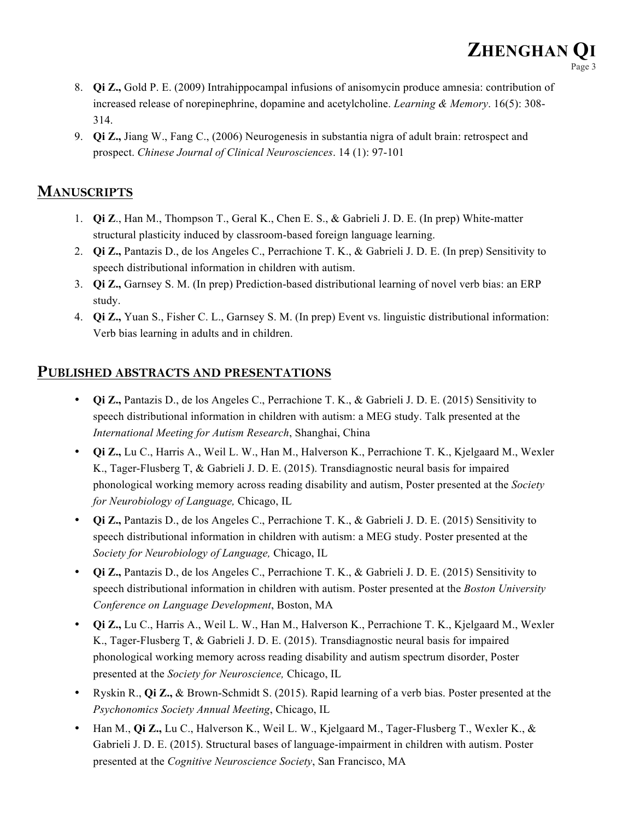**ZHENGHAN Q<sup>I</sup>**

Page 3

9. **Qi Z.,** Jiang W., Fang C., (2006) Neurogenesis in substantia nigra of adult brain: retrospect and prospect. *Chinese Journal of Clinical Neurosciences*. 14 (1): 97-101

# **MANUSCRIPTS**

- 1. **Qi Z**., Han M., Thompson T., Geral K., Chen E. S., & Gabrieli J. D. E. (In prep) White-matter structural plasticity induced by classroom-based foreign language learning.
- 2. **Qi Z.,** Pantazis D., de los Angeles C., Perrachione T. K., & Gabrieli J. D. E. (In prep) Sensitivity to speech distributional information in children with autism.
- 3. **Qi Z.,** Garnsey S. M. (In prep) Prediction-based distributional learning of novel verb bias: an ERP study.
- 4. **Qi Z.,** Yuan S., Fisher C. L., Garnsey S. M. (In prep) Event vs. linguistic distributional information: Verb bias learning in adults and in children.

# **PUBLISHED ABSTRACTS AND PRESENTATIONS**

- **Qi Z.,** Pantazis D., de los Angeles C., Perrachione T. K., & Gabrieli J. D. E. (2015) Sensitivity to speech distributional information in children with autism: a MEG study. Talk presented at the *International Meeting for Autism Research*, Shanghai, China
- **Qi Z.,** Lu C., Harris A., Weil L. W., Han M., Halverson K., Perrachione T. K., Kjelgaard M., Wexler K., Tager-Flusberg T, & Gabrieli J. D. E. (2015). Transdiagnostic neural basis for impaired phonological working memory across reading disability and autism, Poster presented at the *Society for Neurobiology of Language,* Chicago, IL
- **Qi Z.,** Pantazis D., de los Angeles C., Perrachione T. K., & Gabrieli J. D. E. (2015) Sensitivity to speech distributional information in children with autism: a MEG study. Poster presented at the *Society for Neurobiology of Language,* Chicago, IL
- **Qi Z.,** Pantazis D., de los Angeles C., Perrachione T. K., & Gabrieli J. D. E. (2015) Sensitivity to speech distributional information in children with autism. Poster presented at the *Boston University Conference on Language Development*, Boston, MA
- **Qi Z.,** Lu C., Harris A., Weil L. W., Han M., Halverson K., Perrachione T. K., Kjelgaard M., Wexler K., Tager-Flusberg T, & Gabrieli J. D. E. (2015). Transdiagnostic neural basis for impaired phonological working memory across reading disability and autism spectrum disorder, Poster presented at the *Society for Neuroscience,* Chicago, IL
- Ryskin R., **Qi Z.,** & Brown-Schmidt S. (2015). Rapid learning of a verb bias. Poster presented at the *Psychonomics Society Annual Meeting*, Chicago, IL
- Han M., **Qi Z.,** Lu C., Halverson K., Weil L. W., Kjelgaard M., Tager-Flusberg T., Wexler K., & Gabrieli J. D. E. (2015). Structural bases of language-impairment in children with autism. Poster presented at the *Cognitive Neuroscience Society*, San Francisco, MA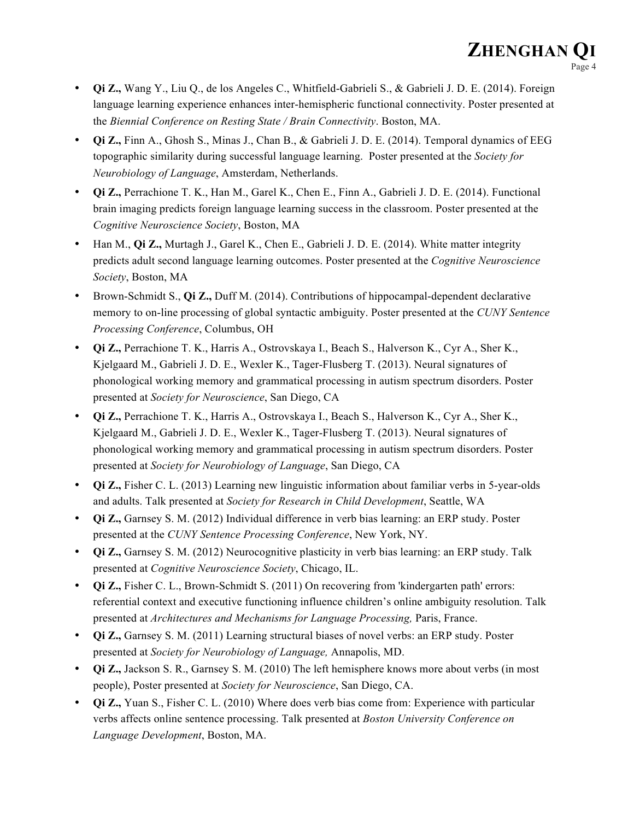- **Qi Z.,** Wang Y., Liu Q., de los Angeles C., Whitfield-Gabrieli S., & Gabrieli J. D. E. (2014). Foreign language learning experience enhances inter-hemispheric functional connectivity. Poster presented at the *Biennial Conference on Resting State / Brain Connectivity*. Boston, MA.
- **Qi Z.,** Finn A., Ghosh S., Minas J., Chan B., & Gabrieli J. D. E. (2014). Temporal dynamics of EEG topographic similarity during successful language learning. Poster presented at the *Society for Neurobiology of Language*, Amsterdam, Netherlands.
- **Qi Z.,** Perrachione T. K., Han M., Garel K., Chen E., Finn A., Gabrieli J. D. E. (2014). Functional brain imaging predicts foreign language learning success in the classroom. Poster presented at the *Cognitive Neuroscience Society*, Boston, MA
- Han M., **Qi Z.,** Murtagh J., Garel K., Chen E., Gabrieli J. D. E. (2014). White matter integrity predicts adult second language learning outcomes. Poster presented at the *Cognitive Neuroscience Society*, Boston, MA
- Brown-Schmidt S., **Qi Z.,** Duff M. (2014). Contributions of hippocampal-dependent declarative memory to on-line processing of global syntactic ambiguity. Poster presented at the *CUNY Sentence Processing Conference*, Columbus, OH
- **Qi Z.,** Perrachione T. K., Harris A., Ostrovskaya I., Beach S., Halverson K., Cyr A., Sher K., Kjelgaard M., Gabrieli J. D. E., Wexler K., Tager-Flusberg T. (2013). Neural signatures of phonological working memory and grammatical processing in autism spectrum disorders. Poster presented at *Society for Neuroscience*, San Diego, CA
- **Qi Z.,** Perrachione T. K., Harris A., Ostrovskaya I., Beach S., Halverson K., Cyr A., Sher K., Kjelgaard M., Gabrieli J. D. E., Wexler K., Tager-Flusberg T. (2013). Neural signatures of phonological working memory and grammatical processing in autism spectrum disorders. Poster presented at *Society for Neurobiology of Language*, San Diego, CA
- **Qi Z.,** Fisher C. L. (2013) Learning new linguistic information about familiar verbs in 5-year-olds and adults. Talk presented at *Society for Research in Child Development*, Seattle, WA
- **Qi Z.,** Garnsey S. M. (2012) Individual difference in verb bias learning: an ERP study. Poster presented at the *CUNY Sentence Processing Conference*, New York, NY.
- **Qi Z.,** Garnsey S. M. (2012) Neurocognitive plasticity in verb bias learning: an ERP study. Talk presented at *Cognitive Neuroscience Society*, Chicago, IL.
- **Qi Z.,** Fisher C. L., Brown-Schmidt S. (2011) On recovering from 'kindergarten path' errors: referential context and executive functioning influence children's online ambiguity resolution. Talk presented at *Architectures and Mechanisms for Language Processing,* Paris, France.
- **Qi Z.,** Garnsey S. M. (2011) Learning structural biases of novel verbs: an ERP study. Poster presented at *Society for Neurobiology of Language,* Annapolis, MD.
- **Qi Z.,** Jackson S. R., Garnsey S. M. (2010) The left hemisphere knows more about verbs (in most people), Poster presented at *Society for Neuroscience*, San Diego, CA.
- **Qi Z.,** Yuan S., Fisher C. L. (2010) Where does verb bias come from: Experience with particular verbs affects online sentence processing. Talk presented at *Boston University Conference on Language Development*, Boston, MA.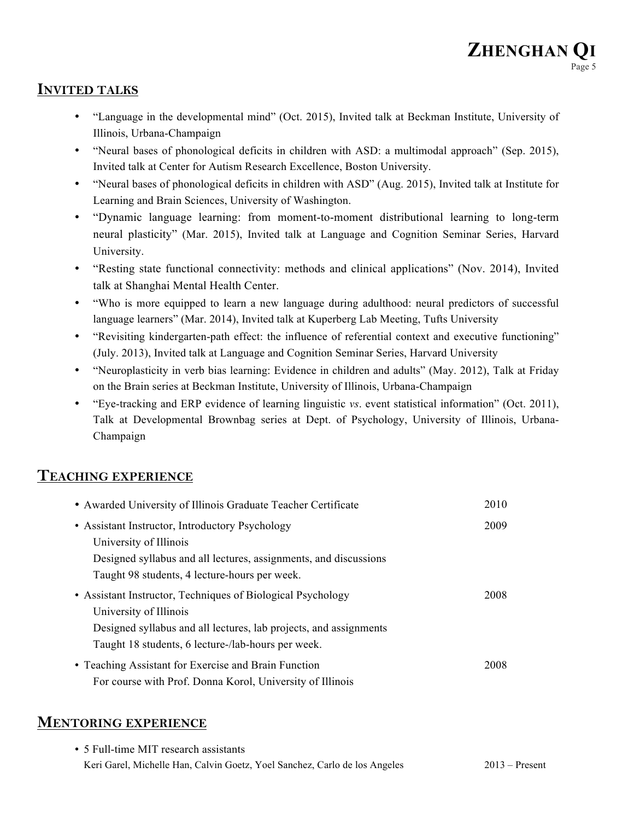# **INVITED TALKS**

- "Language in the developmental mind" (Oct. 2015), Invited talk at Beckman Institute, University of Illinois, Urbana-Champaign
- "Neural bases of phonological deficits in children with ASD: a multimodal approach" (Sep. 2015), Invited talk at Center for Autism Research Excellence, Boston University.
- "Neural bases of phonological deficits in children with ASD" (Aug. 2015), Invited talk at Institute for Learning and Brain Sciences, University of Washington.
- "Dynamic language learning: from moment-to-moment distributional learning to long-term neural plasticity" (Mar. 2015), Invited talk at Language and Cognition Seminar Series, Harvard University.
- "Resting state functional connectivity: methods and clinical applications" (Nov. 2014), Invited talk at Shanghai Mental Health Center.
- "Who is more equipped to learn a new language during adulthood: neural predictors of successful language learners" (Mar. 2014), Invited talk at Kuperberg Lab Meeting, Tufts University
- "Revisiting kindergarten-path effect: the influence of referential context and executive functioning" (July. 2013), Invited talk at Language and Cognition Seminar Series, Harvard University
- "Neuroplasticity in verb bias learning: Evidence in children and adults" (May. 2012), Talk at Friday on the Brain series at Beckman Institute, University of Illinois, Urbana-Champaign
- "Eye-tracking and ERP evidence of learning linguistic *vs*. event statistical information" (Oct. 2011), Talk at Developmental Brownbag series at Dept. of Psychology, University of Illinois, Urbana-Champaign

#### **TEACHING EXPERIENCE**

| • Awarded University of Illinois Graduate Teacher Certificate     | 2010 |
|-------------------------------------------------------------------|------|
| • Assistant Instructor, Introductory Psychology                   | 2009 |
| University of Illinois                                            |      |
| Designed syllabus and all lectures, assignments, and discussions  |      |
| Taught 98 students, 4 lecture-hours per week.                     |      |
| • Assistant Instructor, Techniques of Biological Psychology       | 2008 |
| University of Illinois                                            |      |
| Designed syllabus and all lectures, lab projects, and assignments |      |
| Taught 18 students, 6 lecture-/lab-hours per week.                |      |
| • Teaching Assistant for Exercise and Brain Function              | 2008 |
| For course with Prof. Donna Korol, University of Illinois         |      |

# **MENTORING EXPERIENCE**

| • 5 Full-time MIT research assistants                                      |                  |
|----------------------------------------------------------------------------|------------------|
| Keri Garel, Michelle Han, Calvin Goetz, Yoel Sanchez, Carlo de los Angeles | $2013$ – Present |